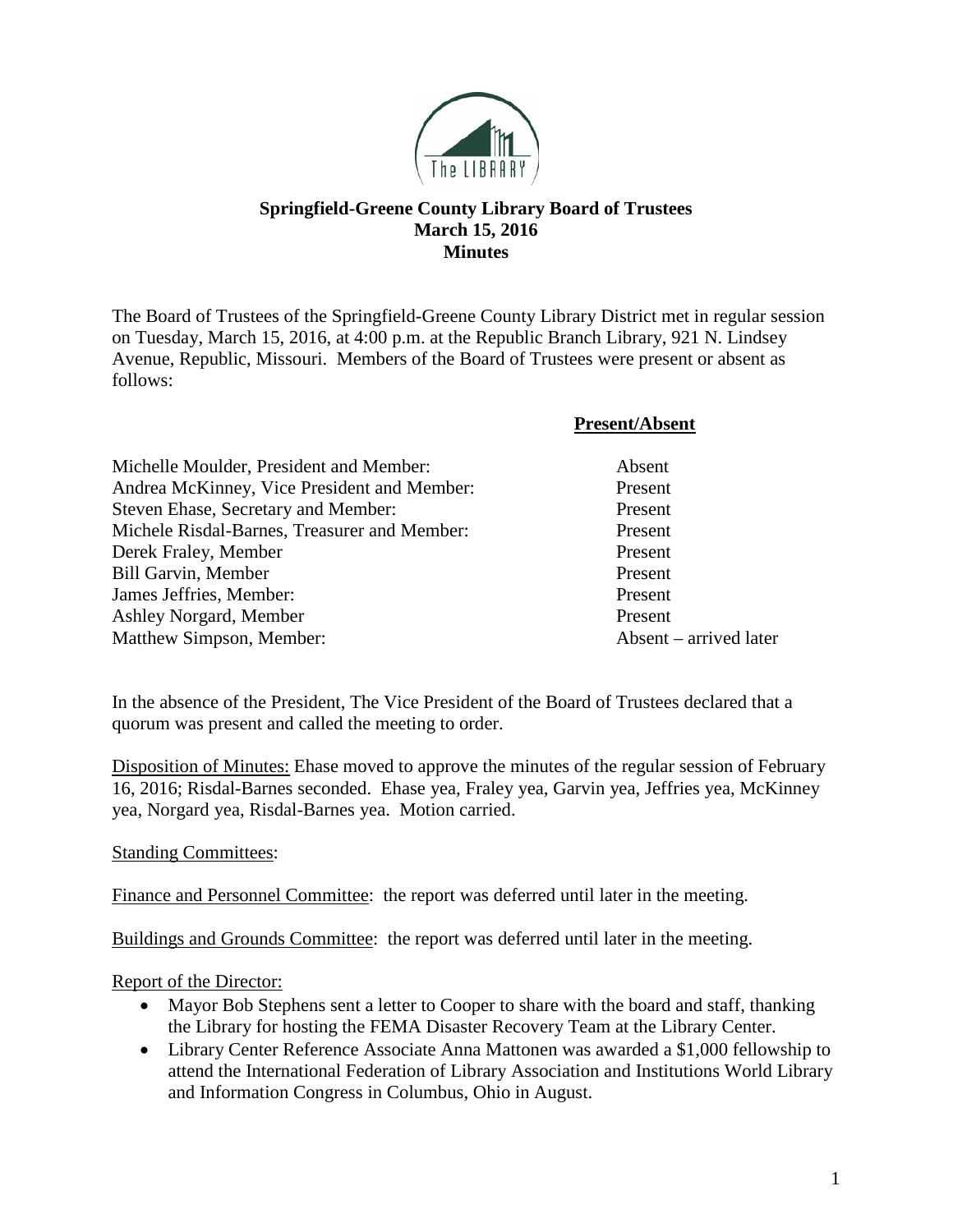

## **Springfield-Greene County Library Board of Trustees March 15, 2016 Minutes**

The Board of Trustees of the Springfield-Greene County Library District met in regular session on Tuesday, March 15, 2016, at 4:00 p.m. at the Republic Branch Library, 921 N. Lindsey Avenue, Republic, Missouri. Members of the Board of Trustees were present or absent as follows:

|                                              | <b>Present/Absent</b>  |
|----------------------------------------------|------------------------|
| Michelle Moulder, President and Member:      | Absent                 |
| Andrea McKinney, Vice President and Member:  | Present                |
| Steven Ehase, Secretary and Member:          | Present                |
| Michele Risdal-Barnes, Treasurer and Member: | Present                |
| Derek Fraley, Member                         | Present                |
| <b>Bill Garvin, Member</b>                   | Present                |
| James Jeffries, Member:                      | Present                |
| Ashley Norgard, Member                       | Present                |
| Matthew Simpson, Member:                     | Absent – arrived later |

In the absence of the President, The Vice President of the Board of Trustees declared that a quorum was present and called the meeting to order.

Disposition of Minutes: Ehase moved to approve the minutes of the regular session of February 16, 2016; Risdal-Barnes seconded. Ehase yea, Fraley yea, Garvin yea, Jeffries yea, McKinney yea, Norgard yea, Risdal-Barnes yea. Motion carried.

Standing Committees:

Finance and Personnel Committee: the report was deferred until later in the meeting.

Buildings and Grounds Committee: the report was deferred until later in the meeting.

Report of the Director:

- Mayor Bob Stephens sent a letter to Cooper to share with the board and staff, thanking the Library for hosting the FEMA Disaster Recovery Team at the Library Center.
- Library Center Reference Associate Anna Mattonen was awarded a \$1,000 fellowship to attend the International Federation of Library Association and Institutions World Library and Information Congress in Columbus, Ohio in August.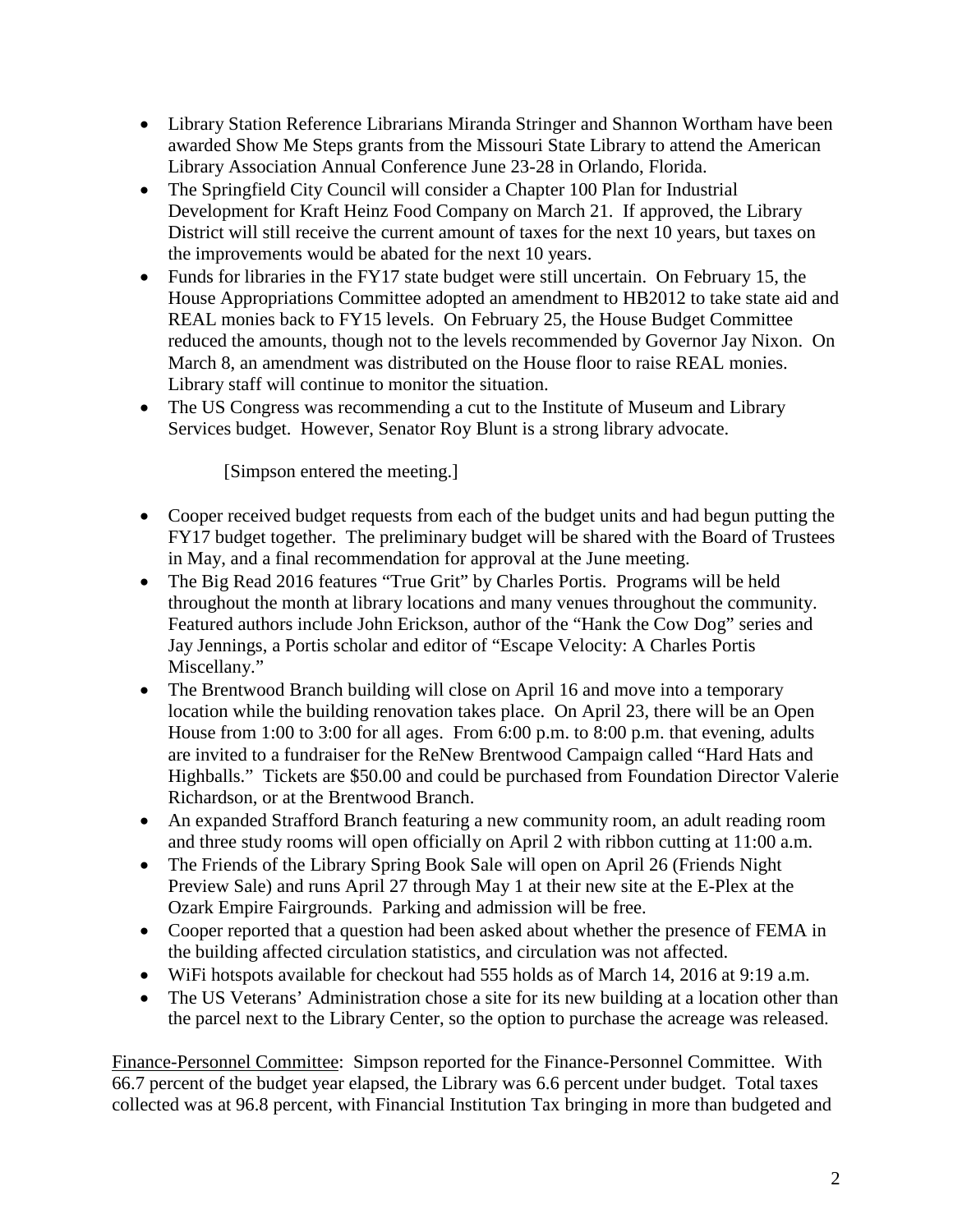- Library Station Reference Librarians Miranda Stringer and Shannon Wortham have been awarded Show Me Steps grants from the Missouri State Library to attend the American Library Association Annual Conference June 23-28 in Orlando, Florida.
- The Springfield City Council will consider a Chapter 100 Plan for Industrial Development for Kraft Heinz Food Company on March 21. If approved, the Library District will still receive the current amount of taxes for the next 10 years, but taxes on the improvements would be abated for the next 10 years.
- Funds for libraries in the FY17 state budget were still uncertain. On February 15, the House Appropriations Committee adopted an amendment to HB2012 to take state aid and REAL monies back to FY15 levels. On February 25, the House Budget Committee reduced the amounts, though not to the levels recommended by Governor Jay Nixon. On March 8, an amendment was distributed on the House floor to raise REAL monies. Library staff will continue to monitor the situation.
- The US Congress was recommending a cut to the Institute of Museum and Library Services budget. However, Senator Roy Blunt is a strong library advocate.

[Simpson entered the meeting.]

- Cooper received budget requests from each of the budget units and had begun putting the FY17 budget together. The preliminary budget will be shared with the Board of Trustees in May, and a final recommendation for approval at the June meeting.
- The Big Read 2016 features "True Grit" by Charles Portis. Programs will be held throughout the month at library locations and many venues throughout the community. Featured authors include John Erickson, author of the "Hank the Cow Dog" series and Jay Jennings, a Portis scholar and editor of "Escape Velocity: A Charles Portis Miscellany."
- The Brentwood Branch building will close on April 16 and move into a temporary location while the building renovation takes place. On April 23, there will be an Open House from 1:00 to 3:00 for all ages. From 6:00 p.m. to 8:00 p.m. that evening, adults are invited to a fundraiser for the ReNew Brentwood Campaign called "Hard Hats and Highballs." Tickets are \$50.00 and could be purchased from Foundation Director Valerie Richardson, or at the Brentwood Branch.
- An expanded Strafford Branch featuring a new community room, an adult reading room and three study rooms will open officially on April 2 with ribbon cutting at 11:00 a.m.
- The Friends of the Library Spring Book Sale will open on April 26 (Friends Night) Preview Sale) and runs April 27 through May 1 at their new site at the E-Plex at the Ozark Empire Fairgrounds. Parking and admission will be free.
- Cooper reported that a question had been asked about whether the presence of FEMA in the building affected circulation statistics, and circulation was not affected.
- WiFi hotspots available for checkout had 555 holds as of March 14, 2016 at 9:19 a.m.
- The US Veterans' Administration chose a site for its new building at a location other than the parcel next to the Library Center, so the option to purchase the acreage was released.

Finance-Personnel Committee: Simpson reported for the Finance-Personnel Committee. With 66.7 percent of the budget year elapsed, the Library was 6.6 percent under budget. Total taxes collected was at 96.8 percent, with Financial Institution Tax bringing in more than budgeted and